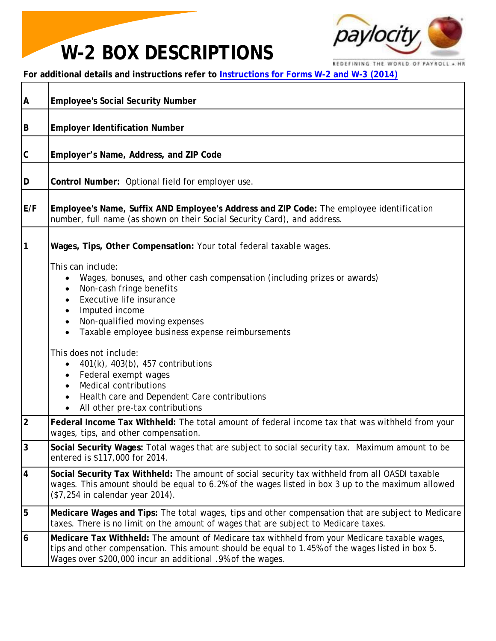## **W-2 BOX DESCRIPTIONS**



REDEFINING THE WORLD OF PAYROLL + HR

**For additional details and instructions refer to [Instructions for Forms W-2 and W-3 \(2014\)](http://www.irs.gov/instructions/iw2w3/index.html)**

| A                       | <b>Employee's Social Security Number</b>                                                                                                                                                                                                                                                                                                                                                                                                                                                                                                                               |  |  |  |  |  |
|-------------------------|------------------------------------------------------------------------------------------------------------------------------------------------------------------------------------------------------------------------------------------------------------------------------------------------------------------------------------------------------------------------------------------------------------------------------------------------------------------------------------------------------------------------------------------------------------------------|--|--|--|--|--|
| B                       | <b>Employer Identification Number</b>                                                                                                                                                                                                                                                                                                                                                                                                                                                                                                                                  |  |  |  |  |  |
| C                       | Employer's Name, Address, and ZIP Code                                                                                                                                                                                                                                                                                                                                                                                                                                                                                                                                 |  |  |  |  |  |
| D                       | Control Number: Optional field for employer use.                                                                                                                                                                                                                                                                                                                                                                                                                                                                                                                       |  |  |  |  |  |
| E/F                     | Employee's Name, Suffix AND Employee's Address and ZIP Code: The employee identification<br>number, full name (as shown on their Social Security Card), and address.                                                                                                                                                                                                                                                                                                                                                                                                   |  |  |  |  |  |
| 1                       | Wages, Tips, Other Compensation: Your total federal taxable wages.<br>This can include:<br>Wages, bonuses, and other cash compensation (including prizes or awards)<br>Non-cash fringe benefits<br>Executive life insurance<br>Imputed income<br>Non-qualified moving expenses<br>$\bullet$<br>Taxable employee business expense reimbursements<br>This does not include:<br>401(k), 403(b), 457 contributions<br>Federal exempt wages<br><b>Medical contributions</b><br>$\bullet$<br>Health care and Dependent Care contributions<br>All other pre-tax contributions |  |  |  |  |  |
| $\overline{2}$          | Federal Income Tax Withheld: The total amount of federal income tax that was withheld from your<br>wages, tips, and other compensation.                                                                                                                                                                                                                                                                                                                                                                                                                                |  |  |  |  |  |
| 3                       | Social Security Wages: Total wages that are subject to social security tax. Maximum amount to be<br>entered is \$117,000 for 2014.                                                                                                                                                                                                                                                                                                                                                                                                                                     |  |  |  |  |  |
| $\overline{\mathbf{4}}$ | Social Security Tax Withheld: The amount of social security tax withheld from all OASDI taxable<br>wages. This amount should be equal to 6.2% of the wages listed in box 3 up to the maximum allowed<br>(\$7,254 in calendar year 2014).                                                                                                                                                                                                                                                                                                                               |  |  |  |  |  |
| 5                       | Medicare Wages and Tips: The total wages, tips and other compensation that are subject to Medicare<br>taxes. There is no limit on the amount of wages that are subject to Medicare taxes.                                                                                                                                                                                                                                                                                                                                                                              |  |  |  |  |  |
| 6                       | Medicare Tax Withheld: The amount of Medicare tax withheld from your Medicare taxable wages,<br>tips and other compensation. This amount should be equal to 1.45% of the wages listed in box 5.<br>Wages over \$200,000 incur an additional .9% of the wages.                                                                                                                                                                                                                                                                                                          |  |  |  |  |  |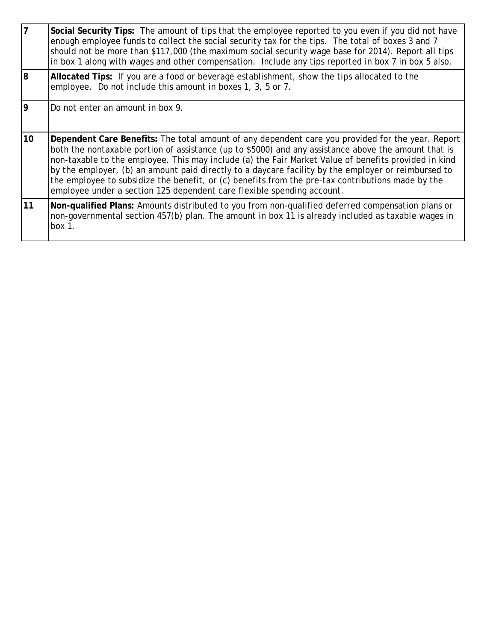| $\overline{7}$  | Social Security Tips: The amount of tips that the employee reported to you even if you did not have<br>enough employee funds to collect the social security tax for the tips. The total of boxes 3 and 7<br>should not be more than \$117,000 (the maximum social security wage base for 2014). Report all tips<br>in box 1 along with wages and other compensation. Include any tips reported in box 7 in box 5 also.                                                                                                                                                                                  |  |  |  |  |  |
|-----------------|---------------------------------------------------------------------------------------------------------------------------------------------------------------------------------------------------------------------------------------------------------------------------------------------------------------------------------------------------------------------------------------------------------------------------------------------------------------------------------------------------------------------------------------------------------------------------------------------------------|--|--|--|--|--|
| l8              | Allocated Tips: If you are a food or beverage establishment, show the tips allocated to the<br>employee. Do not include this amount in boxes 1, 3, 5 or 7.                                                                                                                                                                                                                                                                                                                                                                                                                                              |  |  |  |  |  |
| 9               | Do not enter an amount in box 9.                                                                                                                                                                                                                                                                                                                                                                                                                                                                                                                                                                        |  |  |  |  |  |
| 10 <sup>1</sup> | Dependent Care Benefits: The total amount of any dependent care you provided for the year. Report<br>both the nontaxable portion of assistance (up to \$5000) and any assistance above the amount that is<br>non-taxable to the employee. This may include (a) the Fair Market Value of benefits provided in kind<br>by the employer, (b) an amount paid directly to a daycare facility by the employer or reimbursed to<br>the employee to subsidize the benefit, or (c) benefits from the pre-tax contributions made by the<br>employee under a section 125 dependent care flexible spending account. |  |  |  |  |  |
| 11              | Non-qualified Plans: Amounts distributed to you from non-qualified deferred compensation plans or<br>non-governmental section 457(b) plan. The amount in box 11 is already included as taxable wages in<br>box $1$ .                                                                                                                                                                                                                                                                                                                                                                                    |  |  |  |  |  |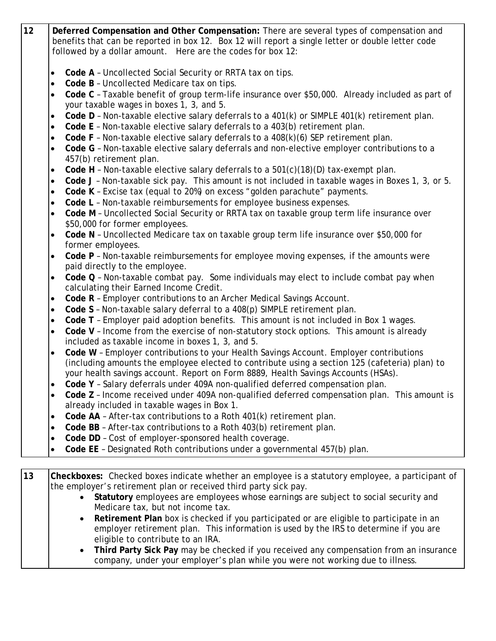| 12 | Deferred Compensation and Other Compensation: There are several types of compensation and<br>benefits that can be reported in box 12. Box 12 will report a single letter or double letter code<br>followed by a dollar amount. Here are the codes for box 12: |  |  |  |  |  |  |
|----|---------------------------------------------------------------------------------------------------------------------------------------------------------------------------------------------------------------------------------------------------------------|--|--|--|--|--|--|
|    | Code A - Uncollected Social Security or RRTA tax on tips.<br>$\bullet$<br>Code B - Uncollected Medicare tax on tips.<br>$\bullet$                                                                                                                             |  |  |  |  |  |  |
|    | Code C - Taxable benefit of group term-life insurance over \$50,000. Already included as part of<br>$\bullet$<br>your taxable wages in boxes 1, 3, and 5.                                                                                                     |  |  |  |  |  |  |
|    | Code D - Non-taxable elective salary deferrals to a 401(k) or SIMPLE 401(k) retirement plan.<br>$\bullet$                                                                                                                                                     |  |  |  |  |  |  |
|    | Code E - Non-taxable elective salary deferrals to a 403(b) retirement plan.<br>$\bullet$                                                                                                                                                                      |  |  |  |  |  |  |
|    | Code $F$ - Non-taxable elective salary deferrals to a $408(k)(6)$ SEP retirement plan.<br>$\bullet$                                                                                                                                                           |  |  |  |  |  |  |
|    | Code G - Non-taxable elective salary deferrals and non-elective employer contributions to a<br>$\bullet$<br>457(b) retirement plan.                                                                                                                           |  |  |  |  |  |  |
|    | Code H - Non-taxable elective salary deferrals to a 501(c)(18)(D) tax-exempt plan.<br>$\bullet$                                                                                                                                                               |  |  |  |  |  |  |
|    | Code J - Non-taxable sick pay. This amount is not included in taxable wages in Boxes 1, 3, or 5.<br>$\bullet$                                                                                                                                                 |  |  |  |  |  |  |
|    | Code K - Excise tax (equal to 20%) on excess "golden parachute" payments.<br>$\bullet$                                                                                                                                                                        |  |  |  |  |  |  |
|    | Code L - Non-taxable reimbursements for employee business expenses.<br>$\bullet$                                                                                                                                                                              |  |  |  |  |  |  |
|    | Code M - Uncollected Social Security or RRTA tax on taxable group term life insurance over<br>$\bullet$                                                                                                                                                       |  |  |  |  |  |  |
|    | \$50,000 for former employees.                                                                                                                                                                                                                                |  |  |  |  |  |  |
|    | Code N - Uncollected Medicare tax on taxable group term life insurance over \$50,000 for<br>$\bullet$<br>former employees.                                                                                                                                    |  |  |  |  |  |  |
|    | Code P - Non-taxable reimbursements for employee moving expenses, if the amounts were<br>$\bullet$<br>paid directly to the employee.                                                                                                                          |  |  |  |  |  |  |
|    | Code Q - Non-taxable combat pay. Some individuals may elect to include combat pay when<br>$\bullet$<br>calculating their Earned Income Credit.                                                                                                                |  |  |  |  |  |  |
|    | Code R - Employer contributions to an Archer Medical Savings Account.<br>$\bullet$                                                                                                                                                                            |  |  |  |  |  |  |
|    | Code S - Non-taxable salary deferral to a 408(p) SIMPLE retirement plan.<br>$\bullet$                                                                                                                                                                         |  |  |  |  |  |  |
|    | Code T - Employer paid adoption benefits. This amount is not included in Box 1 wages.<br>$\bullet$                                                                                                                                                            |  |  |  |  |  |  |
|    | Code V - Income from the exercise of non-statutory stock options. This amount is already<br>$\bullet$<br>included as taxable income in boxes 1, 3, and 5.                                                                                                     |  |  |  |  |  |  |
|    | Code W - Employer contributions to your Health Savings Account. Employer contributions<br>$\bullet$                                                                                                                                                           |  |  |  |  |  |  |
|    | (including amounts the employee elected to contribute using a section 125 (cafeteria) plan) to                                                                                                                                                                |  |  |  |  |  |  |
|    | your health savings account. Report on Form 8889, Health Savings Accounts (HSAs).                                                                                                                                                                             |  |  |  |  |  |  |
|    | Code Y - Salary deferrals under 409A non-qualified deferred compensation plan.<br>$\bullet$                                                                                                                                                                   |  |  |  |  |  |  |
|    | Code Z - Income received under 409A non-qualified deferred compensation plan. This amount is<br>$\bullet$<br>already included in taxable wages in Box 1.                                                                                                      |  |  |  |  |  |  |
|    | Code AA - After-tax contributions to a Roth 401(k) retirement plan.<br>$\bullet$                                                                                                                                                                              |  |  |  |  |  |  |
|    | Code BB - After-tax contributions to a Roth 403(b) retirement plan.<br>$\bullet$                                                                                                                                                                              |  |  |  |  |  |  |
|    | Code DD - Cost of employer-sponsored health coverage.<br>$\bullet$                                                                                                                                                                                            |  |  |  |  |  |  |
|    | Code EE - Designated Roth contributions under a governmental 457(b) plan.<br>$\bullet$                                                                                                                                                                        |  |  |  |  |  |  |
|    |                                                                                                                                                                                                                                                               |  |  |  |  |  |  |
| 13 | Checkboxes: Checked boxes indicate whether an employee is a statutory employee, a participant of                                                                                                                                                              |  |  |  |  |  |  |
|    | the employer's retirement plan or received third party sick pay.                                                                                                                                                                                              |  |  |  |  |  |  |
|    | Statutory employees are employees whose earnings are subject to social security and                                                                                                                                                                           |  |  |  |  |  |  |

- Medicare tax, but not income tax.
- **Retirement Plan** box is checked if you participated or are eligible to participate in an employer retirement plan. This information is used by the IRS to determine if you are eligible to contribute to an IRA.
- **Third Party Sick Pay** may be checked if you received any compensation from an insurance company, under your employer's plan while you were not working due to illness.